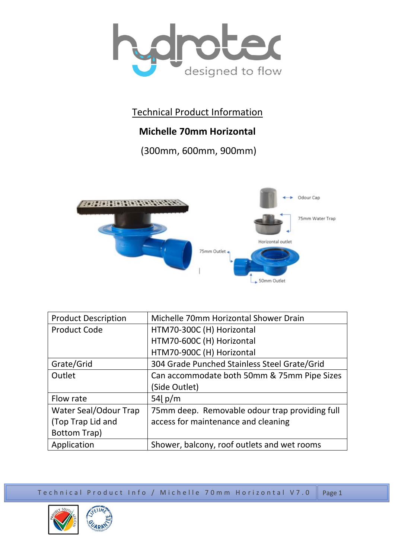

Technical Product Information

## **Michelle 70mm Horizontal**

(300mm, 600mm, 900mm)



| <b>Product Description</b> | Michelle 70mm Horizontal Shower Drain          |
|----------------------------|------------------------------------------------|
| <b>Product Code</b>        | HTM70-300C (H) Horizontal                      |
|                            | HTM70-600C (H) Horizontal                      |
|                            | HTM70-900C (H) Horizontal                      |
| Grate/Grid                 | 304 Grade Punched Stainless Steel Grate/Grid   |
| Outlet                     | Can accommodate both 50mm & 75mm Pipe Sizes    |
|                            | (Side Outlet)                                  |
| Flow rate                  | 54 $p/m$                                       |
| Water Seal/Odour Trap      | 75mm deep. Removable odour trap providing full |
| (Top Trap Lid and          | access for maintenance and cleaning            |
| <b>Bottom Trap)</b>        |                                                |
| Application                | Shower, balcony, roof outlets and wet rooms    |

Te chnical Product Info / Michelle 70mm Horizontal V7.0 Page 1